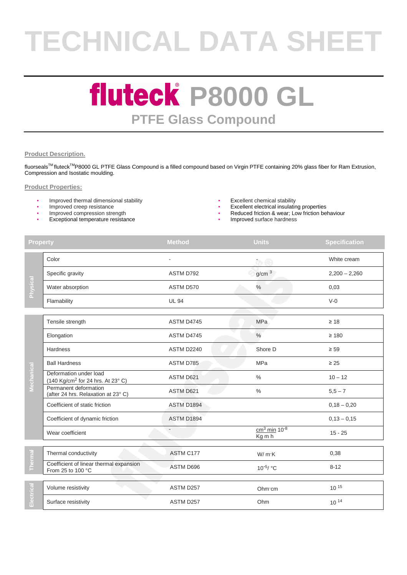# **TECHNICAL DATA SHEET**

### **fluteck P8000 GL PTFE Glass Compound**

#### **Product Description.**

fluorseals™ fluteck<sup>™</sup>P8000 GL PTFE Glass Compound is a filled compound based on Virgin PTFE containing 20% glass fiber for Ram Extrusion, Compression and Isostatic moulding.

#### **Product Properties:**

- Improved thermal dimensional stability  $\bullet$  Excellent chemical stability  **Excellent chemical stability** Improved creep resistance
- 
- 
- Exceptional temperature resistance **Exceptional temperature resistance Improved surface hardness**
- 
- 
- Improved creep resistance and the state of the state of the state of the state of the state of the state of the state of the state of the state of the state of the state of the state of the state of the state of the stat Reduced friction & wear; Low friction behaviour
	-

| <b>Property</b> |                                                                         | <b>Method</b>    | <b>Units</b>                         | <b>Specification</b> |
|-----------------|-------------------------------------------------------------------------|------------------|--------------------------------------|----------------------|
| Physical        | Color                                                                   |                  | $\tau$ e                             | White cream          |
|                 | Specific gravity                                                        | ASTM D792        | g/cm <sup>3</sup>                    | $2,200 - 2,260$      |
|                 | Water absorption                                                        | ASTM D570        | $\frac{1}{2}$                        | 0,03                 |
|                 | Flamability                                                             | <b>UL 94</b>     |                                      | $V-0$                |
|                 | Tensile strength                                                        | ASTM D4745       | <b>MPa</b>                           | $\geq 18$            |
|                 | Elongation                                                              | ASTM D4745       | $\%$                                 | $\geq 180$           |
|                 | Hardness                                                                | ASTM D2240       | Shore D                              | $\geq 59$            |
|                 | <b>Ball Hardness</b>                                                    | ASTM D785        | MPa                                  | $\geq 25$            |
| Mechanical      | Deformation under load<br>(140 Kg/cm <sup>2</sup> for 24 hrs. At 23° C) | ASTM D621        | $\frac{0}{0}$                        | $10 - 12$            |
|                 | Permanent deformation<br>(after 24 hrs. Relaxation at 23°C)             | <b>ASTM D621</b> | $\frac{0}{0}$                        | $5,5 - 7$            |
|                 | Coefficient of static friction                                          | ASTM D1894       |                                      | $0,18 - 0,20$        |
|                 | Coefficient of dynamic friction                                         | ASTM D1894       |                                      | $0,13 - 0,15$        |
|                 | Wear coefficient                                                        |                  | $cm3$ min 10 <sup>-8</sup><br>Kg m h | $15 - 25$            |
| Therma          | Thermal conductivity                                                    | ASTM C177        | W/mK                                 | 0,38                 |
|                 | Coefficient of linear thermal expansion<br>From 25 to 100 °C            | ASTM D696        | 10 <sup>-5</sup> / °C                | $8 - 12$             |
| Electrical      | Volume resistivity                                                      | ASTM D257        | Ohm cm                               | $10^{15}$            |
|                 | Surface resistivity                                                     | ASTM D257        | Ohm                                  | 10 14                |